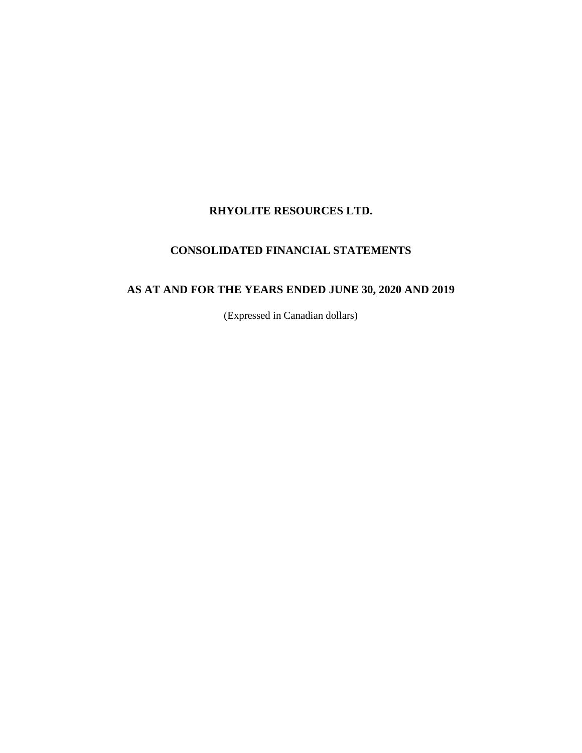# **CONSOLIDATED FINANCIAL STATEMENTS**

# **AS AT AND FOR THE YEARS ENDED JUNE 30, 2020 AND 2019**

(Expressed in Canadian dollars)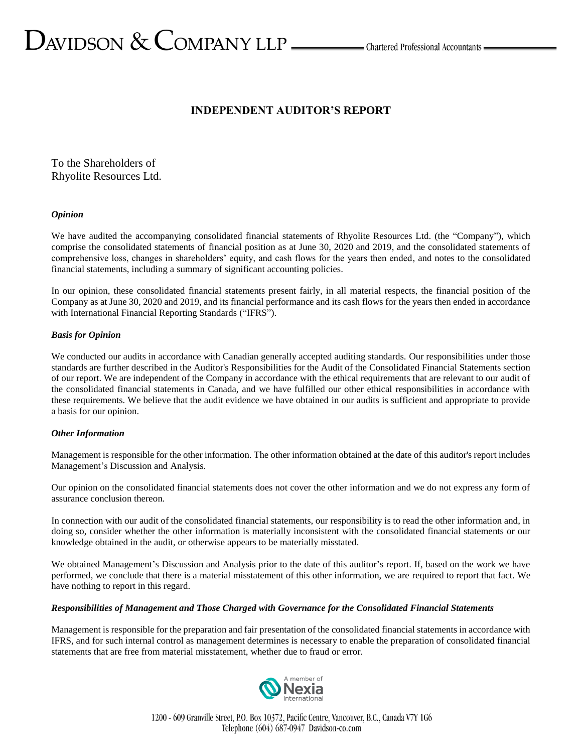# $D_{\text{AVIDSON}} \ \&\ \text{COMPANY LLP} \_\text{\tiny{Lap} \_\text{\tiny{C}}}$ Chartered Professional Accountants  $D_{\text{A}}$

# **INDEPENDENT AUDITOR'S REPORT**

To the Shareholders of Rhyolite Resources Ltd.

#### *Opinion*

We have audited the accompanying consolidated financial statements of Rhyolite Resources Ltd. (the "Company"), which comprise the consolidated statements of financial position as at June 30, 2020 and 2019, and the consolidated statements of comprehensive loss, changes in shareholders' equity, and cash flows for the years then ended, and notes to the consolidated financial statements, including a summary of significant accounting policies.

In our opinion, these consolidated financial statements present fairly, in all material respects, the financial position of the Company as at June 30, 2020 and 2019, and its financial performance and its cash flows for the years then ended in accordance with International Financial Reporting Standards ("IFRS").

#### *Basis for Opinion*

We conducted our audits in accordance with Canadian generally accepted auditing standards. Our responsibilities under those standards are further described in the Auditor's Responsibilities for the Audit of the Consolidated Financial Statements section of our report. We are independent of the Company in accordance with the ethical requirements that are relevant to our audit of the consolidated financial statements in Canada, and we have fulfilled our other ethical responsibilities in accordance with these requirements. We believe that the audit evidence we have obtained in our audits is sufficient and appropriate to provide a basis for our opinion.

#### *Other Information*

Management is responsible for the other information. The other information obtained at the date of this auditor's report includes Management's Discussion and Analysis.

Our opinion on the consolidated financial statements does not cover the other information and we do not express any form of assurance conclusion thereon.

In connection with our audit of the consolidated financial statements, our responsibility is to read the other information and, in doing so, consider whether the other information is materially inconsistent with the consolidated financial statements or our knowledge obtained in the audit, or otherwise appears to be materially misstated.

We obtained Management's Discussion and Analysis prior to the date of this auditor's report. If, based on the work we have performed, we conclude that there is a material misstatement of this other information, we are required to report that fact. We have nothing to report in this regard.

#### *Responsibilities of Management and Those Charged with Governance for the Consolidated Financial Statements*

Management is responsible for the preparation and fair presentation of the consolidated financial statements in accordance with IFRS, and for such internal control as management determines is necessary to enable the preparation of consolidated financial statements that are free from material misstatement, whether due to fraud or error.

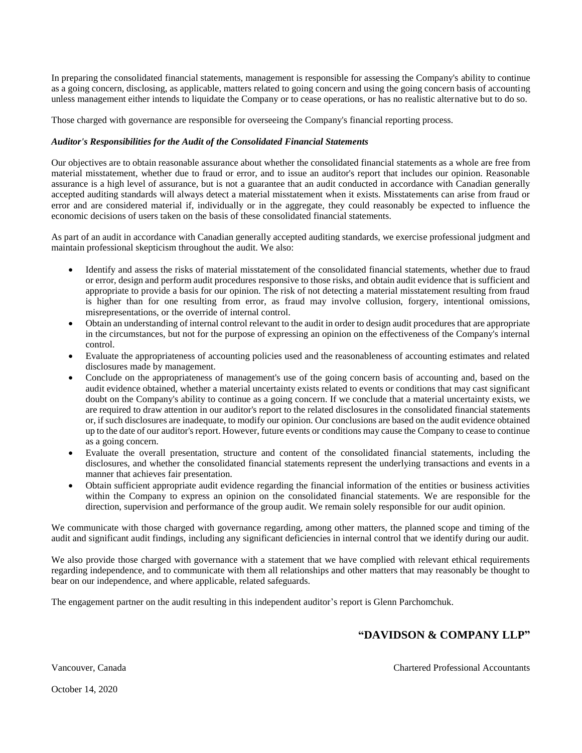In preparing the consolidated financial statements, management is responsible for assessing the Company's ability to continue as a going concern, disclosing, as applicable, matters related to going concern and using the going concern basis of accounting unless management either intends to liquidate the Company or to cease operations, or has no realistic alternative but to do so.

Those charged with governance are responsible for overseeing the Company's financial reporting process.

#### *Auditor's Responsibilities for the Audit of the Consolidated Financial Statements*

Our objectives are to obtain reasonable assurance about whether the consolidated financial statements as a whole are free from material misstatement, whether due to fraud or error, and to issue an auditor's report that includes our opinion. Reasonable assurance is a high level of assurance, but is not a guarantee that an audit conducted in accordance with Canadian generally accepted auditing standards will always detect a material misstatement when it exists. Misstatements can arise from fraud or error and are considered material if, individually or in the aggregate, they could reasonably be expected to influence the economic decisions of users taken on the basis of these consolidated financial statements.

As part of an audit in accordance with Canadian generally accepted auditing standards, we exercise professional judgment and maintain professional skepticism throughout the audit. We also:

- Identify and assess the risks of material misstatement of the consolidated financial statements, whether due to fraud or error, design and perform audit procedures responsive to those risks, and obtain audit evidence that is sufficient and appropriate to provide a basis for our opinion. The risk of not detecting a material misstatement resulting from fraud is higher than for one resulting from error, as fraud may involve collusion, forgery, intentional omissions, misrepresentations, or the override of internal control.
- Obtain an understanding of internal control relevant to the audit in order to design audit procedures that are appropriate in the circumstances, but not for the purpose of expressing an opinion on the effectiveness of the Company's internal control.
- Evaluate the appropriateness of accounting policies used and the reasonableness of accounting estimates and related disclosures made by management.
- Conclude on the appropriateness of management's use of the going concern basis of accounting and, based on the audit evidence obtained, whether a material uncertainty exists related to events or conditions that may cast significant doubt on the Company's ability to continue as a going concern. If we conclude that a material uncertainty exists, we are required to draw attention in our auditor's report to the related disclosures in the consolidated financial statements or, if such disclosures are inadequate, to modify our opinion. Our conclusions are based on the audit evidence obtained up to the date of our auditor's report. However, future events or conditions may cause the Company to cease to continue as a going concern.
- Evaluate the overall presentation, structure and content of the consolidated financial statements, including the disclosures, and whether the consolidated financial statements represent the underlying transactions and events in a manner that achieves fair presentation.
- Obtain sufficient appropriate audit evidence regarding the financial information of the entities or business activities within the Company to express an opinion on the consolidated financial statements. We are responsible for the direction, supervision and performance of the group audit. We remain solely responsible for our audit opinion.

We communicate with those charged with governance regarding, among other matters, the planned scope and timing of the audit and significant audit findings, including any significant deficiencies in internal control that we identify during our audit.

We also provide those charged with governance with a statement that we have complied with relevant ethical requirements regarding independence, and to communicate with them all relationships and other matters that may reasonably be thought to bear on our independence, and where applicable, related safeguards.

The engagement partner on the audit resulting in this independent auditor's report is Glenn Parchomchuk.

# **"DAVIDSON & COMPANY LLP"**

Vancouver, Canada Chartered Professional Accountants

October 14, 2020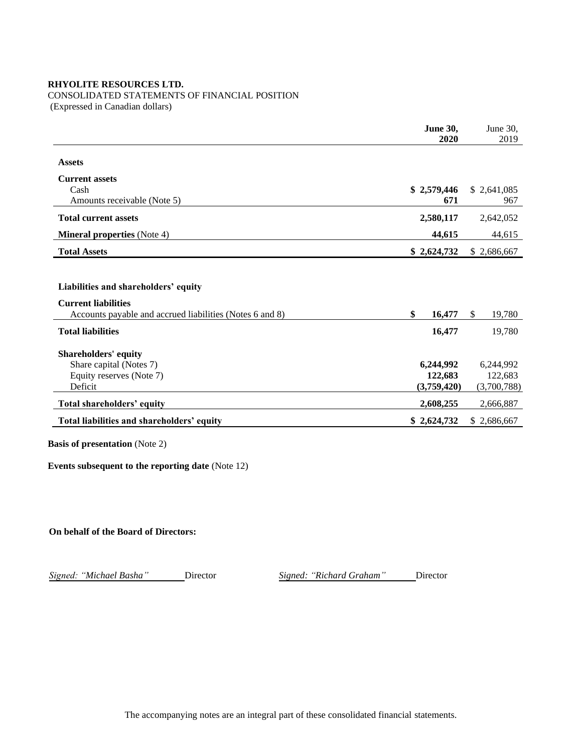# CONSOLIDATED STATEMENTS OF FINANCIAL POSITION

(Expressed in Canadian dollars)

| 2020         | 2019          |
|--------------|---------------|
|              |               |
|              |               |
|              |               |
| \$2,579,446  | \$2,641,085   |
| 671          | 967           |
| 2,580,117    | 2,642,052     |
| 44,615       | 44,615        |
| \$2,624,732  | \$2,686,667   |
|              |               |
|              |               |
|              |               |
| \$<br>16,477 | \$.<br>19,780 |
| 16,477       | 19,780        |
|              |               |
| 6,244,992    | 6,244,992     |
| 122,683      | 122,683       |
|              | (3,700,788)   |
| 2,608,255    | 2,666,887     |
| \$2,624,732  | \$2,686,667   |
|              | (3,759,420)   |

**Basis of presentation** (Note 2)

**Events subsequent to the reporting date** (Note 12)

**On behalf of the Board of Directors:**

*Signed: "Michael Basha"* Director *Signed: "Richard Graham"* Director

The accompanying notes are an integral part of these consolidated financial statements.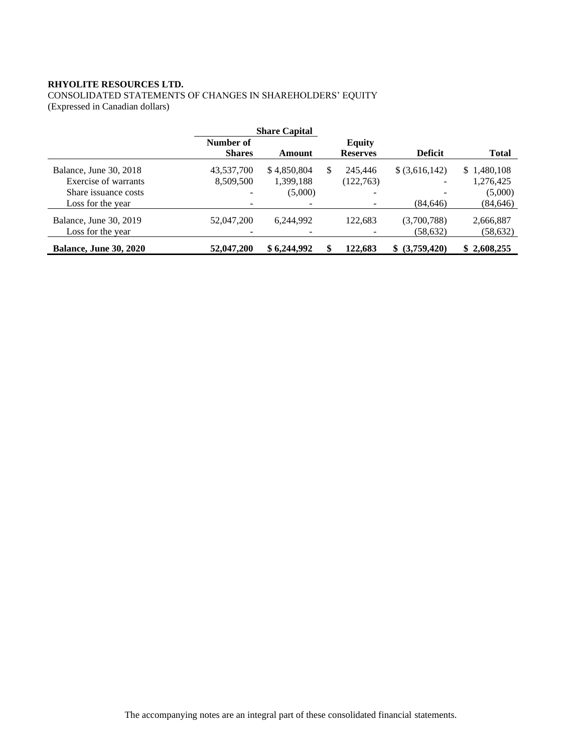CONSOLIDATED STATEMENTS OF CHANGES IN SHAREHOLDERS' EQUITY (Expressed in Canadian dollars)

|                                                                                             |                                                         | <b>Share Capital</b>                |   |                                  |                             |                                                  |
|---------------------------------------------------------------------------------------------|---------------------------------------------------------|-------------------------------------|---|----------------------------------|-----------------------------|--------------------------------------------------|
|                                                                                             | Number of<br><b>Shares</b>                              | Amount                              |   | <b>Equity</b><br><b>Reserves</b> | <b>Deficit</b>              | <b>Total</b>                                     |
| Balance, June 30, 2018<br>Exercise of warrants<br>Share issuance costs<br>Loss for the year | 43,537,700<br>8,509,500<br>$\qquad \qquad \blacksquare$ | \$4,850,804<br>1,399,188<br>(5,000) | S | 245,446<br>(122, 763)            | $$$ (3,616,142)<br>(84.646) | \$1,480,108<br>1,276,425<br>(5,000)<br>(84, 646) |
| Balance, June 30, 2019<br>Loss for the year                                                 | 52,047,200                                              | 6,244,992                           |   | 122.683                          | (3,700,788)<br>(58, 632)    | 2,666,887<br>(58, 632)                           |
| <b>Balance, June 30, 2020</b>                                                               | 52,047,200                                              | \$6,244,992                         |   | 122.683                          | \$ (3,759,420)              | \$2,608,255                                      |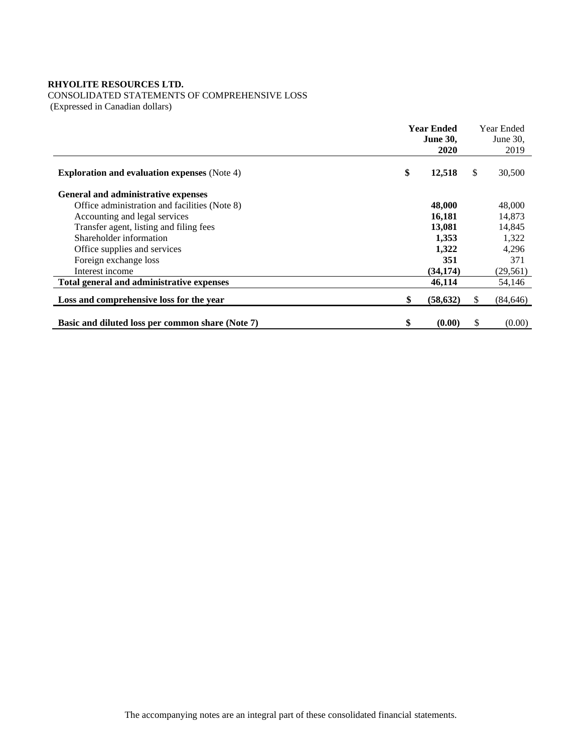CONSOLIDATED STATEMENTS OF COMPREHENSIVE LOSS

(Expressed in Canadian dollars)

|                                                     | <b>Year Ended</b> |           | Year Ended  |           |
|-----------------------------------------------------|-------------------|-----------|-------------|-----------|
|                                                     | <b>June 30,</b>   |           | June $30$ , |           |
|                                                     |                   | 2020      |             | 2019      |
| <b>Exploration and evaluation expenses</b> (Note 4) | \$                | 12,518    | \$          | 30,500    |
| General and administrative expenses                 |                   |           |             |           |
| Office administration and facilities (Note 8)       |                   | 48,000    |             | 48,000    |
| Accounting and legal services                       |                   | 16,181    |             | 14,873    |
| Transfer agent, listing and filing fees             |                   | 13,081    |             | 14,845    |
| Shareholder information                             |                   | 1,353     |             | 1,322     |
| Office supplies and services                        |                   | 1,322     |             | 4,296     |
| Foreign exchange loss                               |                   | 351       |             | 371       |
| Interest income                                     |                   | (34, 174) |             | (29, 561) |
| Total general and administrative expenses           |                   | 46,114    |             | 54,146    |
| Loss and comprehensive loss for the year            | \$                | (58, 632) | S           | (84, 646) |
| Basic and diluted loss per common share (Note 7)    | \$                | (0.00)    | \$          | (0.00)    |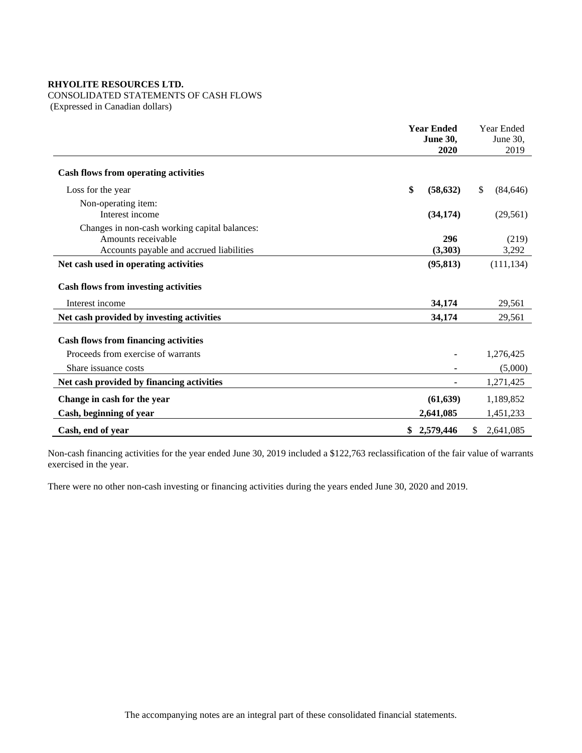# CONSOLIDATED STATEMENTS OF CASH FLOWS

(Expressed in Canadian dollars)

|                                                                                                                 | <b>Year Ended</b><br><b>June 30,</b><br>2020 | Year Ended<br>June 30,<br>2019 |
|-----------------------------------------------------------------------------------------------------------------|----------------------------------------------|--------------------------------|
| <b>Cash flows from operating activities</b>                                                                     |                                              |                                |
| Loss for the year                                                                                               | \$<br>(58, 632)                              | \$<br>(84, 646)                |
| Non-operating item:<br>Interest income                                                                          | (34, 174)                                    | (29, 561)                      |
| Changes in non-cash working capital balances:<br>Amounts receivable<br>Accounts payable and accrued liabilities | 296<br>(3,303)                               | (219)<br>3,292                 |
| Net cash used in operating activities                                                                           | (95, 813)                                    | (111, 134)                     |
| <b>Cash flows from investing activities</b>                                                                     |                                              |                                |
| Interest income                                                                                                 | 34,174                                       | 29,561                         |
| Net cash provided by investing activities                                                                       | 34,174                                       | 29,561                         |
| <b>Cash flows from financing activities</b>                                                                     |                                              |                                |
| Proceeds from exercise of warrants                                                                              |                                              | 1,276,425                      |
| Share issuance costs                                                                                            |                                              | (5,000)                        |
| Net cash provided by financing activities                                                                       |                                              | 1,271,425                      |
| Change in cash for the year                                                                                     | (61, 639)                                    | 1,189,852                      |
| Cash, beginning of year                                                                                         | 2,641,085                                    | 1,451,233                      |
| Cash, end of year                                                                                               | 2,579,446                                    | 2,641,085                      |

Non-cash financing activities for the year ended June 30, 2019 included a \$122,763 reclassification of the fair value of warrants exercised in the year.

There were no other non-cash investing or financing activities during the years ended June 30, 2020 and 2019.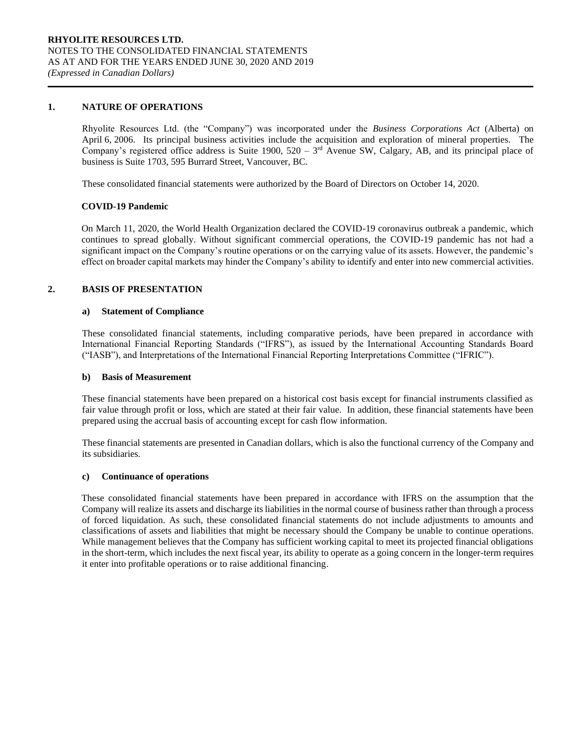#### **1. NATURE OF OPERATIONS**

Rhyolite Resources Ltd. (the "Company") was incorporated under the *Business Corporations Act* (Alberta) on April 6, 2006. Its principal business activities include the acquisition and exploration of mineral properties. The Company's registered office address is Suite 1900,  $520 - 3<sup>rd</sup>$  Avenue SW, Calgary, AB, and its principal place of business is Suite 1703, 595 Burrard Street, Vancouver, BC.

These consolidated financial statements were authorized by the Board of Directors on October 14, 2020.

#### **COVID-19 Pandemic**

On March 11, 2020, the World Health Organization declared the COVID-19 coronavirus outbreak a pandemic, which continues to spread globally. Without significant commercial operations, the COVID-19 pandemic has not had a significant impact on the Company's routine operations or on the carrying value of its assets. However, the pandemic's effect on broader capital markets may hinder the Company's ability to identify and enter into new commercial activities.

#### **2. BASIS OF PRESENTATION**

#### **a) Statement of Compliance**

These consolidated financial statements, including comparative periods, have been prepared in accordance with International Financial Reporting Standards ("IFRS"), as issued by the International Accounting Standards Board ("IASB"), and Interpretations of the International Financial Reporting Interpretations Committee ("IFRIC").

#### **b) Basis of Measurement**

These financial statements have been prepared on a historical cost basis except for financial instruments classified as fair value through profit or loss, which are stated at their fair value. In addition, these financial statements have been prepared using the accrual basis of accounting except for cash flow information.

These financial statements are presented in Canadian dollars, which is also the functional currency of the Company and its subsidiaries.

#### **c) Continuance of operations**

These consolidated financial statements have been prepared in accordance with IFRS on the assumption that the Company will realize its assets and discharge its liabilities in the normal course of business rather than through a process of forced liquidation. As such, these consolidated financial statements do not include adjustments to amounts and classifications of assets and liabilities that might be necessary should the Company be unable to continue operations. While management believes that the Company has sufficient working capital to meet its projected financial obligations in the short-term, which includes the next fiscal year, its ability to operate as a going concern in the longer-term requires it enter into profitable operations or to raise additional financing.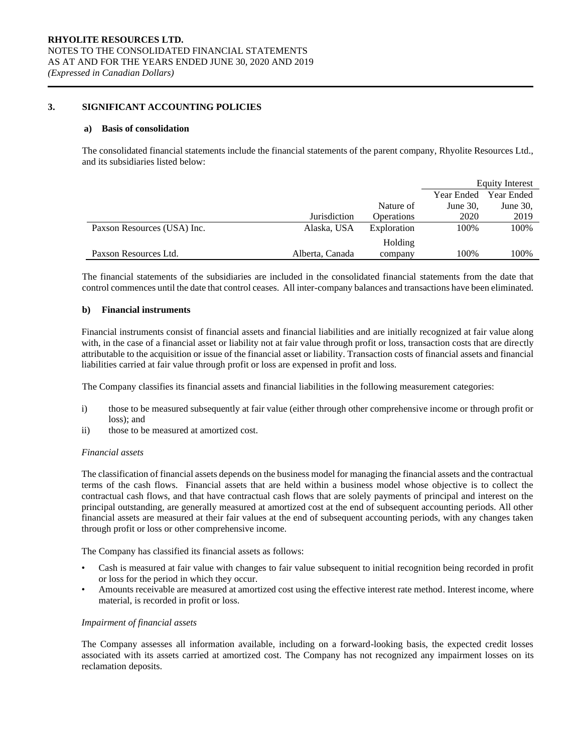#### **3. SIGNIFICANT ACCOUNTING POLICIES**

#### **a) Basis of consolidation**

The consolidated financial statements include the financial statements of the parent company, Rhyolite Resources Ltd., and its subsidiaries listed below:

|                             |                 |             |             | <b>Equity Interest</b> |
|-----------------------------|-----------------|-------------|-------------|------------------------|
|                             |                 |             | Year Ended  | Year Ended             |
|                             |                 | Nature of   | June $30$ , | June $30$ ,            |
|                             | Jurisdiction    | Operations  | 2020        | 2019                   |
| Paxson Resources (USA) Inc. | Alaska, USA     | Exploration | 100%        | 100%                   |
|                             |                 | Holding     |             |                        |
| Paxson Resources Ltd.       | Alberta, Canada | company     | 100%        | 100%                   |

The financial statements of the subsidiaries are included in the consolidated financial statements from the date that control commences until the date that control ceases. All inter-company balances and transactions have been eliminated.

#### **b) Financial instruments**

Financial instruments consist of financial assets and financial liabilities and are initially recognized at fair value along with, in the case of a financial asset or liability not at fair value through profit or loss, transaction costs that are directly attributable to the acquisition or issue of the financial asset or liability. Transaction costs of financial assets and financial liabilities carried at fair value through profit or loss are expensed in profit and loss.

The Company classifies its financial assets and financial liabilities in the following measurement categories:

- i) those to be measured subsequently at fair value (either through other comprehensive income or through profit or loss); and
- ii) those to be measured at amortized cost.

#### *Financial assets*

The classification of financial assets depends on the business model for managing the financial assets and the contractual terms of the cash flows. Financial assets that are held within a business model whose objective is to collect the contractual cash flows, and that have contractual cash flows that are solely payments of principal and interest on the principal outstanding, are generally measured at amortized cost at the end of subsequent accounting periods. All other financial assets are measured at their fair values at the end of subsequent accounting periods, with any changes taken through profit or loss or other comprehensive income.

The Company has classified its financial assets as follows:

- Cash is measured at fair value with changes to fair value subsequent to initial recognition being recorded in profit or loss for the period in which they occur.
- Amounts receivable are measured at amortized cost using the effective interest rate method. Interest income, where material, is recorded in profit or loss.

#### *Impairment of financial assets*

The Company assesses all information available, including on a forward-looking basis, the expected credit losses associated with its assets carried at amortized cost. The Company has not recognized any impairment losses on its reclamation deposits.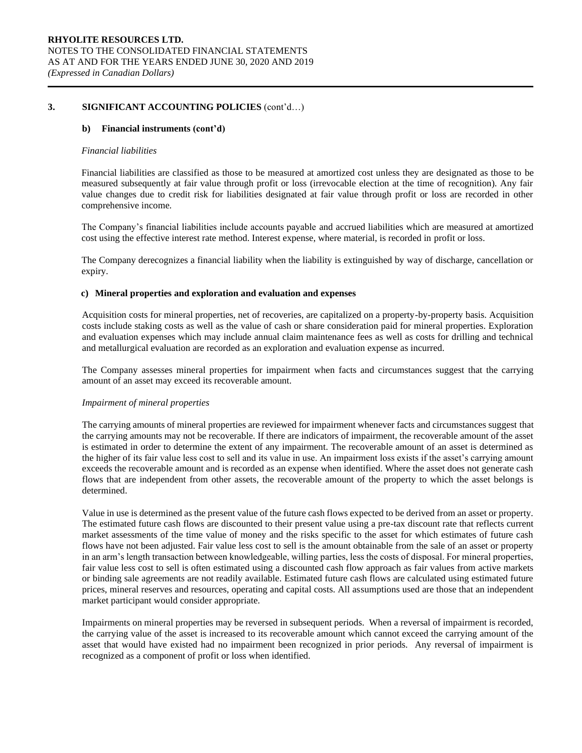#### **b) Financial instruments (cont'd)**

#### *Financial liabilities*

Financial liabilities are classified as those to be measured at amortized cost unless they are designated as those to be measured subsequently at fair value through profit or loss (irrevocable election at the time of recognition). Any fair value changes due to credit risk for liabilities designated at fair value through profit or loss are recorded in other comprehensive income.

The Company's financial liabilities include accounts payable and accrued liabilities which are measured at amortized cost using the effective interest rate method. Interest expense, where material, is recorded in profit or loss.

The Company derecognizes a financial liability when the liability is extinguished by way of discharge, cancellation or expiry.

#### **c) Mineral properties and exploration and evaluation and expenses**

Acquisition costs for mineral properties, net of recoveries, are capitalized on a property-by-property basis. Acquisition costs include staking costs as well as the value of cash or share consideration paid for mineral properties. Exploration and evaluation expenses which may include annual claim maintenance fees as well as costs for drilling and technical and metallurgical evaluation are recorded as an exploration and evaluation expense as incurred.

The Company assesses mineral properties for impairment when facts and circumstances suggest that the carrying amount of an asset may exceed its recoverable amount.

#### *Impairment of mineral properties*

The carrying amounts of mineral properties are reviewed for impairment whenever facts and circumstances suggest that the carrying amounts may not be recoverable. If there are indicators of impairment, the recoverable amount of the asset is estimated in order to determine the extent of any impairment. The recoverable amount of an asset is determined as the higher of its fair value less cost to sell and its value in use. An impairment loss exists if the asset's carrying amount exceeds the recoverable amount and is recorded as an expense when identified. Where the asset does not generate cash flows that are independent from other assets, the recoverable amount of the property to which the asset belongs is determined.

Value in use is determined as the present value of the future cash flows expected to be derived from an asset or property. The estimated future cash flows are discounted to their present value using a pre-tax discount rate that reflects current market assessments of the time value of money and the risks specific to the asset for which estimates of future cash flows have not been adjusted. Fair value less cost to sell is the amount obtainable from the sale of an asset or property in an arm's length transaction between knowledgeable, willing parties, less the costs of disposal. For mineral properties, fair value less cost to sell is often estimated using a discounted cash flow approach as fair values from active markets or binding sale agreements are not readily available. Estimated future cash flows are calculated using estimated future prices, mineral reserves and resources, operating and capital costs. All assumptions used are those that an independent market participant would consider appropriate.

Impairments on mineral properties may be reversed in subsequent periods. When a reversal of impairment is recorded, the carrying value of the asset is increased to its recoverable amount which cannot exceed the carrying amount of the asset that would have existed had no impairment been recognized in prior periods. Any reversal of impairment is recognized as a component of profit or loss when identified.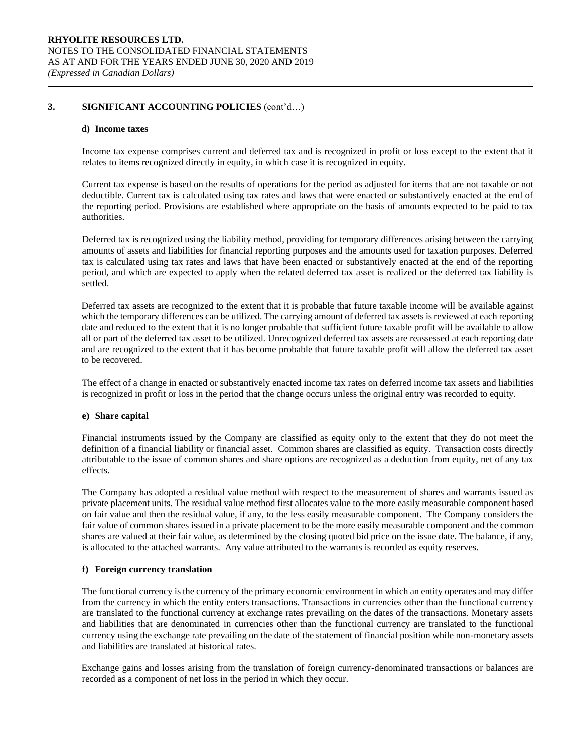#### **d) Income taxes**

Income tax expense comprises current and deferred tax and is recognized in profit or loss except to the extent that it relates to items recognized directly in equity, in which case it is recognized in equity.

Current tax expense is based on the results of operations for the period as adjusted for items that are not taxable or not deductible. Current tax is calculated using tax rates and laws that were enacted or substantively enacted at the end of the reporting period. Provisions are established where appropriate on the basis of amounts expected to be paid to tax authorities.

Deferred tax is recognized using the liability method, providing for temporary differences arising between the carrying amounts of assets and liabilities for financial reporting purposes and the amounts used for taxation purposes. Deferred tax is calculated using tax rates and laws that have been enacted or substantively enacted at the end of the reporting period, and which are expected to apply when the related deferred tax asset is realized or the deferred tax liability is settled.

Deferred tax assets are recognized to the extent that it is probable that future taxable income will be available against which the temporary differences can be utilized. The carrying amount of deferred tax assets is reviewed at each reporting date and reduced to the extent that it is no longer probable that sufficient future taxable profit will be available to allow all or part of the deferred tax asset to be utilized. Unrecognized deferred tax assets are reassessed at each reporting date and are recognized to the extent that it has become probable that future taxable profit will allow the deferred tax asset to be recovered.

The effect of a change in enacted or substantively enacted income tax rates on deferred income tax assets and liabilities is recognized in profit or loss in the period that the change occurs unless the original entry was recorded to equity.

#### **e) Share capital**

Financial instruments issued by the Company are classified as equity only to the extent that they do not meet the definition of a financial liability or financial asset. Common shares are classified as equity. Transaction costs directly attributable to the issue of common shares and share options are recognized as a deduction from equity, net of any tax effects.

The Company has adopted a residual value method with respect to the measurement of shares and warrants issued as private placement units. The residual value method first allocates value to the more easily measurable component based on fair value and then the residual value, if any, to the less easily measurable component. The Company considers the fair value of common shares issued in a private placement to be the more easily measurable component and the common shares are valued at their fair value, as determined by the closing quoted bid price on the issue date. The balance, if any, is allocated to the attached warrants. Any value attributed to the warrants is recorded as equity reserves.

#### **f) Foreign currency translation**

The functional currency is the currency of the primary economic environment in which an entity operates and may differ from the currency in which the entity enters transactions. Transactions in currencies other than the functional currency are translated to the functional currency at exchange rates prevailing on the dates of the transactions. Monetary assets and liabilities that are denominated in currencies other than the functional currency are translated to the functional currency using the exchange rate prevailing on the date of the statement of financial position while non-monetary assets and liabilities are translated at historical rates.

Exchange gains and losses arising from the translation of foreign currency-denominated transactions or balances are recorded as a component of net loss in the period in which they occur.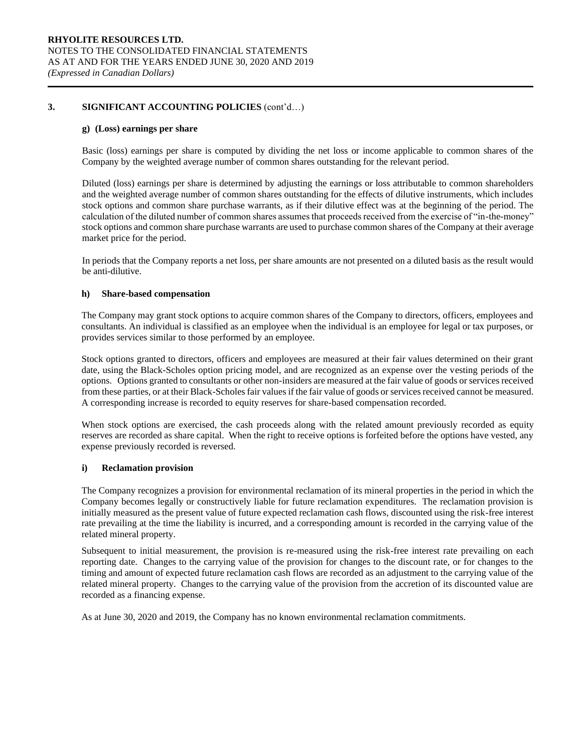#### **g) (Loss) earnings per share**

Basic (loss) earnings per share is computed by dividing the net loss or income applicable to common shares of the Company by the weighted average number of common shares outstanding for the relevant period.

Diluted (loss) earnings per share is determined by adjusting the earnings or loss attributable to common shareholders and the weighted average number of common shares outstanding for the effects of dilutive instruments, which includes stock options and common share purchase warrants, as if their dilutive effect was at the beginning of the period. The calculation of the diluted number of common shares assumes that proceeds received from the exercise of "in-the-money" stock options and common share purchase warrants are used to purchase common shares of the Company at their average market price for the period.

In periods that the Company reports a net loss, per share amounts are not presented on a diluted basis as the result would be anti-dilutive.

#### **h) Share-based compensation**

The Company may grant stock options to acquire common shares of the Company to directors, officers, employees and consultants. An individual is classified as an employee when the individual is an employee for legal or tax purposes, or provides services similar to those performed by an employee.

Stock options granted to directors, officers and employees are measured at their fair values determined on their grant date, using the Black-Scholes option pricing model, and are recognized as an expense over the vesting periods of the options. Options granted to consultants or other non-insiders are measured at the fair value of goods or services received from these parties, or at their Black-Scholes fair values if the fair value of goods or services received cannot be measured. A corresponding increase is recorded to equity reserves for share-based compensation recorded.

When stock options are exercised, the cash proceeds along with the related amount previously recorded as equity reserves are recorded as share capital. When the right to receive options is forfeited before the options have vested, any expense previously recorded is reversed.

#### **i) Reclamation provision**

The Company recognizes a provision for environmental reclamation of its mineral properties in the period in which the Company becomes legally or constructively liable for future reclamation expenditures. The reclamation provision is initially measured as the present value of future expected reclamation cash flows, discounted using the risk-free interest rate prevailing at the time the liability is incurred, and a corresponding amount is recorded in the carrying value of the related mineral property.

Subsequent to initial measurement, the provision is re-measured using the risk-free interest rate prevailing on each reporting date. Changes to the carrying value of the provision for changes to the discount rate, or for changes to the timing and amount of expected future reclamation cash flows are recorded as an adjustment to the carrying value of the related mineral property. Changes to the carrying value of the provision from the accretion of its discounted value are recorded as a financing expense.

As at June 30, 2020 and 2019, the Company has no known environmental reclamation commitments.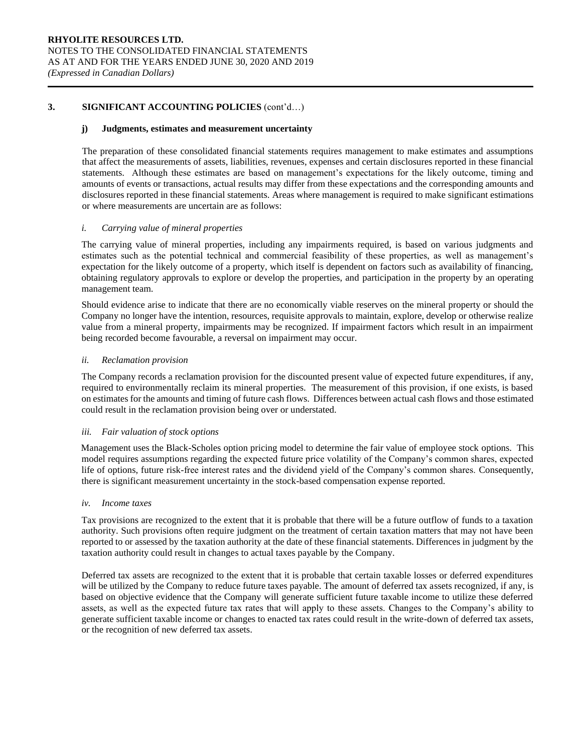#### **j) Judgments, estimates and measurement uncertainty**

The preparation of these consolidated financial statements requires management to make estimates and assumptions that affect the measurements of assets, liabilities, revenues, expenses and certain disclosures reported in these financial statements. Although these estimates are based on management's expectations for the likely outcome, timing and amounts of events or transactions, actual results may differ from these expectations and the corresponding amounts and disclosures reported in these financial statements. Areas where management is required to make significant estimations or where measurements are uncertain are as follows:

#### *i. Carrying value of mineral properties*

The carrying value of mineral properties, including any impairments required, is based on various judgments and estimates such as the potential technical and commercial feasibility of these properties, as well as management's expectation for the likely outcome of a property, which itself is dependent on factors such as availability of financing, obtaining regulatory approvals to explore or develop the properties, and participation in the property by an operating management team.

Should evidence arise to indicate that there are no economically viable reserves on the mineral property or should the Company no longer have the intention, resources, requisite approvals to maintain, explore, develop or otherwise realize value from a mineral property, impairments may be recognized. If impairment factors which result in an impairment being recorded become favourable, a reversal on impairment may occur.

#### *ii. Reclamation provision*

The Company records a reclamation provision for the discounted present value of expected future expenditures, if any, required to environmentally reclaim its mineral properties. The measurement of this provision, if one exists, is based on estimates for the amounts and timing of future cash flows. Differences between actual cash flows and those estimated could result in the reclamation provision being over or understated.

#### *iii. Fair valuation of stock options*

Management uses the Black-Scholes option pricing model to determine the fair value of employee stock options. This model requires assumptions regarding the expected future price volatility of the Company's common shares, expected life of options, future risk-free interest rates and the dividend yield of the Company's common shares. Consequently, there is significant measurement uncertainty in the stock-based compensation expense reported.

#### *iv. Income taxes*

Tax provisions are recognized to the extent that it is probable that there will be a future outflow of funds to a taxation authority. Such provisions often require judgment on the treatment of certain taxation matters that may not have been reported to or assessed by the taxation authority at the date of these financial statements. Differences in judgment by the taxation authority could result in changes to actual taxes payable by the Company.

Deferred tax assets are recognized to the extent that it is probable that certain taxable losses or deferred expenditures will be utilized by the Company to reduce future taxes payable. The amount of deferred tax assets recognized, if any, is based on objective evidence that the Company will generate sufficient future taxable income to utilize these deferred assets, as well as the expected future tax rates that will apply to these assets. Changes to the Company's ability to generate sufficient taxable income or changes to enacted tax rates could result in the write-down of deferred tax assets, or the recognition of new deferred tax assets.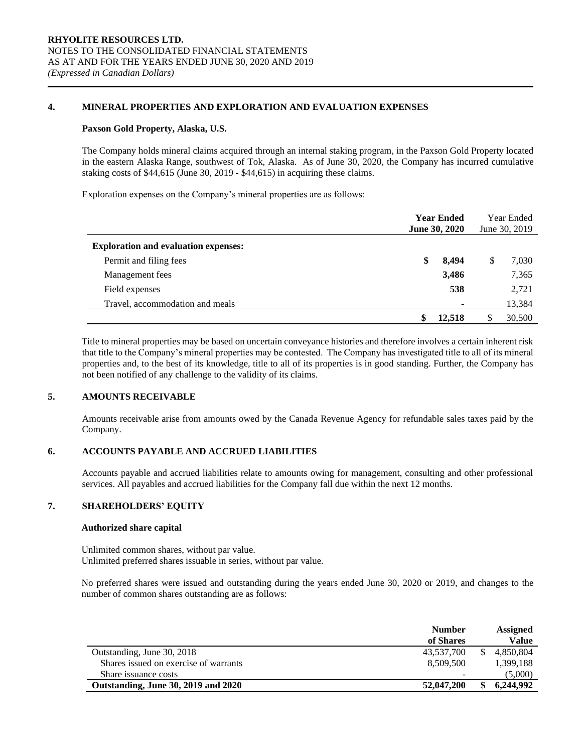#### **4. MINERAL PROPERTIES AND EXPLORATION AND EVALUATION EXPENSES**

#### **Paxson Gold Property, Alaska, U.S.**

The Company holds mineral claims acquired through an internal staking program, in the Paxson Gold Property located in the eastern Alaska Range, southwest of Tok, Alaska. As of June 30, 2020, the Company has incurred cumulative staking costs of \$44,615 (June 30, 2019 - \$44,615) in acquiring these claims.

Exploration expenses on the Company's mineral properties are as follows:

|                                             | <b>Year Ended</b><br>June 30, 2020 | Year Ended<br>June 30, 2019 |   |        |
|---------------------------------------------|------------------------------------|-----------------------------|---|--------|
| <b>Exploration and evaluation expenses:</b> |                                    |                             |   |        |
| Permit and filing fees                      | \$                                 | 8,494                       | J | 7,030  |
| Management fees                             |                                    | 3,486                       |   | 7,365  |
| Field expenses                              |                                    | 538                         |   | 2,721  |
| Travel, accommodation and meals             |                                    | ۰                           |   | 13,384 |
|                                             | \$                                 | 12,518                      | S | 30,500 |

Title to mineral properties may be based on uncertain conveyance histories and therefore involves a certain inherent risk that title to the Company's mineral properties may be contested. The Company has investigated title to all of its mineral properties and, to the best of its knowledge, title to all of its properties is in good standing. Further, the Company has not been notified of any challenge to the validity of its claims.

#### **5. AMOUNTS RECEIVABLE**

Amounts receivable arise from amounts owed by the Canada Revenue Agency for refundable sales taxes paid by the Company.

#### **6. ACCOUNTS PAYABLE AND ACCRUED LIABILITIES**

Accounts payable and accrued liabilities relate to amounts owing for management, consulting and other professional services. All payables and accrued liabilities for the Company fall due within the next 12 months.

#### **7. SHAREHOLDERS' EQUITY**

#### **Authorized share capital**

Unlimited common shares, without par value. Unlimited preferred shares issuable in series, without par value.

No preferred shares were issued and outstanding during the years ended June 30, 2020 or 2019, and changes to the number of common shares outstanding are as follows:

|                                       | <b>Number</b><br>of Shares | <b>Assigned</b><br>Value |
|---------------------------------------|----------------------------|--------------------------|
| Outstanding, June 30, 2018            | 43,537,700                 | 4.850.804                |
| Shares issued on exercise of warrants | 8.509.500                  | 1,399,188                |
| Share issuance costs                  | -                          | (5,000)                  |
| Outstanding, June 30, 2019 and 2020   | 52,047,200                 | 6.244.992                |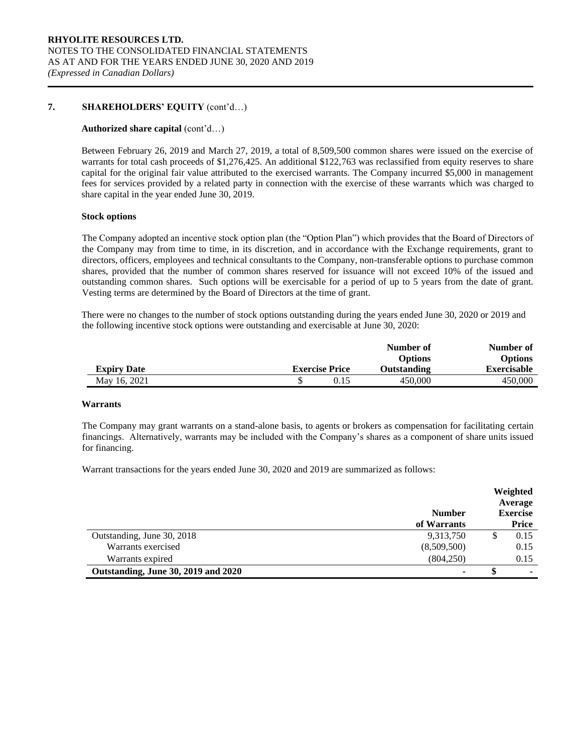#### **7. SHAREHOLDERS' EQUITY** (cont'd…)

#### **Authorized share capital** (cont'd…)

Between February 26, 2019 and March 27, 2019, a total of 8,509,500 common shares were issued on the exercise of warrants for total cash proceeds of \$1,276,425. An additional \$122,763 was reclassified from equity reserves to share capital for the original fair value attributed to the exercised warrants. The Company incurred \$5,000 in management fees for services provided by a related party in connection with the exercise of these warrants which was charged to share capital in the year ended June 30, 2019.

#### **Stock options**

The Company adopted an incentive stock option plan (the "Option Plan") which provides that the Board of Directors of the Company may from time to time, in its discretion, and in accordance with the Exchange requirements, grant to directors, officers, employees and technical consultants to the Company, non-transferable options to purchase common shares, provided that the number of common shares reserved for issuance will not exceed 10% of the issued and outstanding common shares. Such options will be exercisable for a period of up to 5 years from the date of grant. Vesting terms are determined by the Board of Directors at the time of grant.

There were no changes to the number of stock options outstanding during the years ended June 30, 2020 or 2019 and the following incentive stock options were outstanding and exercisable at June 30, 2020:

|                    |                       | Number of      | Number of      |
|--------------------|-----------------------|----------------|----------------|
|                    |                       | <b>Options</b> | <b>Options</b> |
| <b>Expiry Date</b> | <b>Exercise Price</b> | Outstanding    | Exercisable    |
| May 16, 2021       |                       | 450,000        | 450,000        |

#### **Warrants**

The Company may grant warrants on a stand-alone basis, to agents or brokers as compensation for facilitating certain financings. Alternatively, warrants may be included with the Company's shares as a component of share units issued for financing.

Warrant transactions for the years ended June 30, 2020 and 2019 are summarized as follows:

|                                     | <b>Number</b>  |   | Weighted<br>Average<br><b>Exercise</b> |
|-------------------------------------|----------------|---|----------------------------------------|
|                                     | of Warrants    |   | Price                                  |
| Outstanding, June 30, 2018          | 9,313,750      | S | 0.15                                   |
| Warrants exercised                  | (8,509,500)    |   | 0.15                                   |
| Warrants expired                    | (804, 250)     |   | 0.15                                   |
| Outstanding, June 30, 2019 and 2020 | $\blacksquare$ |   | ٠                                      |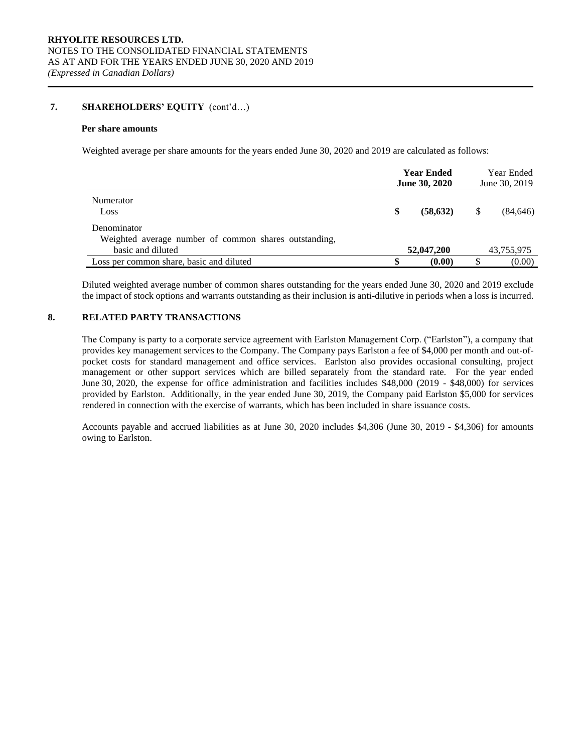#### **7. SHAREHOLDERS' EQUITY** (cont'd…)

#### **Per share amounts**

Weighted average per share amounts for the years ended June 30, 2020 and 2019 are calculated as follows:

|                                                       | <b>Year Ended</b><br><b>June 30, 2020</b> | Year Ended<br>June 30, 2019 |
|-------------------------------------------------------|-------------------------------------------|-----------------------------|
| Numerator<br>Loss                                     | \$<br>(58, 632)                           | (84, 646)                   |
| Denominator                                           |                                           |                             |
| Weighted average number of common shares outstanding, |                                           |                             |
| basic and diluted                                     | 52,047,200                                | 43,755,975                  |
| Loss per common share, basic and diluted              | (0.00)                                    | (0.00)                      |

Diluted weighted average number of common shares outstanding for the years ended June 30, 2020 and 2019 exclude the impact of stock options and warrants outstanding as their inclusion is anti-dilutive in periods when a loss is incurred.

#### **8. RELATED PARTY TRANSACTIONS**

The Company is party to a corporate service agreement with Earlston Management Corp. ("Earlston"), a company that provides key management services to the Company. The Company pays Earlston a fee of \$4,000 per month and out-ofpocket costs for standard management and office services. Earlston also provides occasional consulting, project management or other support services which are billed separately from the standard rate. For the year ended June 30, 2020, the expense for office administration and facilities includes \$48,000 (2019 - \$48,000) for services provided by Earlston. Additionally, in the year ended June 30, 2019, the Company paid Earlston \$5,000 for services rendered in connection with the exercise of warrants, which has been included in share issuance costs.

Accounts payable and accrued liabilities as at June 30, 2020 includes \$4,306 (June 30, 2019 - \$4,306) for amounts owing to Earlston.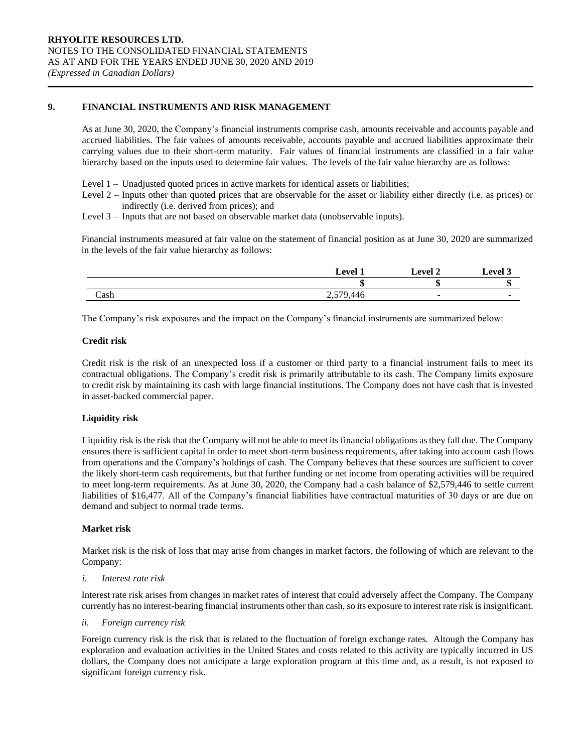#### **9. FINANCIAL INSTRUMENTS AND RISK MANAGEMENT**

As at June 30, 2020, the Company's financial instruments comprise cash, amounts receivable and accounts payable and accrued liabilities. The fair values of amounts receivable, accounts payable and accrued liabilities approximate their carrying values due to their short-term maturity. Fair values of financial instruments are classified in a fair value hierarchy based on the inputs used to determine fair values. The levels of the fair value hierarchy are as follows:

- Level 1 Unadjusted quoted prices in active markets for identical assets or liabilities;
- Level 2 Inputs other than quoted prices that are observable for the asset or liability either directly (i.e. as prices) or indirectly (i.e. derived from prices); and
- Level 3 Inputs that are not based on observable market data (unobservable inputs).

Financial instruments measured at fair value on the statement of financial position as at June 30, 2020 are summarized in the levels of the fair value hierarchy as follows:

|      | $_{\rm eval}$ | ∟evel ^ | evel. |
|------|---------------|---------|-------|
|      |               |         | ٠D    |
| Cash | 446<br>سود    |         |       |

The Company's risk exposures and the impact on the Company's financial instruments are summarized below:

#### **Credit risk**

Credit risk is the risk of an unexpected loss if a customer or third party to a financial instrument fails to meet its contractual obligations. The Company's credit risk is primarily attributable to its cash. The Company limits exposure to credit risk by maintaining its cash with large financial institutions. The Company does not have cash that is invested in asset-backed commercial paper.

#### **Liquidity risk**

Liquidity risk is the risk that the Company will not be able to meet its financial obligations as they fall due. The Company ensures there is sufficient capital in order to meet short-term business requirements, after taking into account cash flows from operations and the Company's holdings of cash. The Company believes that these sources are sufficient to cover the likely short-term cash requirements, but that further funding or net income from operating activities will be required to meet long-term requirements. As at June 30, 2020, the Company had a cash balance of \$2,579,446 to settle current liabilities of \$16,477. All of the Company's financial liabilities have contractual maturities of 30 days or are due on demand and subject to normal trade terms.

#### **Market risk**

Market risk is the risk of loss that may arise from changes in market factors, the following of which are relevant to the Company:

#### *i. Interest rate risk*

Interest rate risk arises from changes in market rates of interest that could adversely affect the Company. The Company currently has no interest-bearing financial instruments other than cash, so its exposure to interest rate risk is insignificant.

*ii. Foreign currency risk* 

Foreign currency risk is the risk that is related to the fluctuation of foreign exchange rates. Altough the Company has exploration and evaluation activities in the United States and costs related to this activity are typically incurred in US dollars, the Company does not anticipate a large exploration program at this time and, as a result, is not exposed to significant foreign currency risk.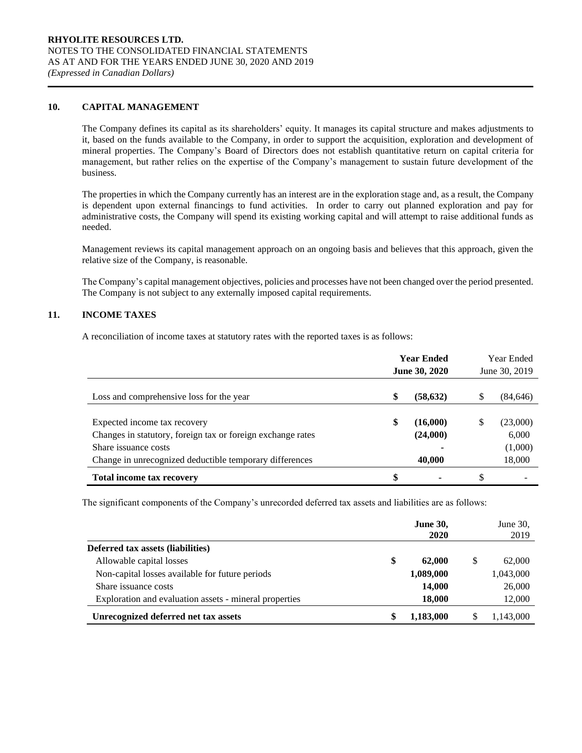#### **10. CAPITAL MANAGEMENT**

The Company defines its capital as its shareholders' equity. It manages its capital structure and makes adjustments to it, based on the funds available to the Company, in order to support the acquisition, exploration and development of mineral properties. The Company's Board of Directors does not establish quantitative return on capital criteria for management, but rather relies on the expertise of the Company's management to sustain future development of the business.

The properties in which the Company currently has an interest are in the exploration stage and, as a result, the Company is dependent upon external financings to fund activities. In order to carry out planned exploration and pay for administrative costs, the Company will spend its existing working capital and will attempt to raise additional funds as needed.

Management reviews its capital management approach on an ongoing basis and believes that this approach, given the relative size of the Company, is reasonable.

The Company's capital management objectives, policies and processes have not been changed over the period presented. The Company is not subject to any externally imposed capital requirements.

#### **11. INCOME TAXES**

A reconciliation of income taxes at statutory rates with the reported taxes is as follows:

|                                                                                             |    | <b>Year Ended</b><br><b>June 30, 2020</b> |    | <b>Year Ended</b><br>June 30, 2019 |
|---------------------------------------------------------------------------------------------|----|-------------------------------------------|----|------------------------------------|
| Loss and comprehensive loss for the year                                                    | S  | (58, 632)                                 | J. | (84,646)                           |
|                                                                                             | \$ |                                           |    |                                    |
| Expected income tax recovery<br>Changes in statutory, foreign tax or foreign exchange rates |    | (16,000)<br>(24,000)                      | S  | (23,000)<br>6,000                  |
| Share issuance costs                                                                        |    |                                           |    | (1,000)                            |
| Change in unrecognized deductible temporary differences                                     |    | 40,000                                    |    | 18,000                             |
| <b>Total income tax recovery</b>                                                            | \$ | ۰                                         | \$ |                                    |

The significant components of the Company's unrecorded deferred tax assets and liabilities are as follows:

|                                                        | <b>June 30,</b><br>2020 | June 30,<br>2019 |
|--------------------------------------------------------|-------------------------|------------------|
| Deferred tax assets (liabilities)                      |                         |                  |
| Allowable capital losses                               | \$<br>62,000            | 62,000           |
| Non-capital losses available for future periods        | 1,089,000               | 1,043,000        |
| Share issuance costs                                   | 14,000                  | 26,000           |
| Exploration and evaluation assets - mineral properties | 18,000                  | 12,000           |
| Unrecognized deferred net tax assets                   | 1,183,000               | 1,143,000        |